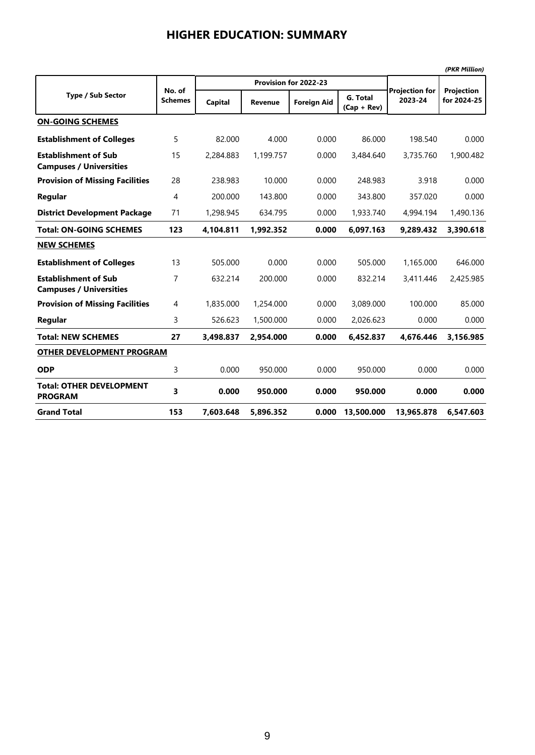|                                                               |                          |           |                |                       |                           |                                  | (PKR Million)                    |
|---------------------------------------------------------------|--------------------------|-----------|----------------|-----------------------|---------------------------|----------------------------------|----------------------------------|
|                                                               |                          |           |                | Provision for 2022-23 |                           |                                  |                                  |
| <b>Type / Sub Sector</b>                                      | No. of<br><b>Schemes</b> | Capital   | <b>Revenue</b> | <b>Foreign Aid</b>    | G. Total<br>$(Cap + Rev)$ | <b>Projection for</b><br>2023-24 | <b>Projection</b><br>for 2024-25 |
| <b>ON-GOING SCHEMES</b>                                       |                          |           |                |                       |                           |                                  |                                  |
| <b>Establishment of Colleges</b>                              | 5                        | 82.000    | 4.000          | 0.000                 | 86.000                    | 198.540                          | 0.000                            |
| <b>Establishment of Sub</b><br><b>Campuses / Universities</b> | 15                       | 2,284.883 | 1,199.757      | 0.000                 | 3,484.640                 | 3,735.760                        | 1,900.482                        |
| <b>Provision of Missing Facilities</b>                        | 28                       | 238.983   | 10.000         | 0.000                 | 248.983                   | 3.918                            | 0.000                            |
| Regular                                                       | 4                        | 200.000   | 143.800        | 0.000                 | 343.800                   | 357.020                          | 0.000                            |
| <b>District Development Package</b>                           | 71                       | 1,298.945 | 634.795        | 0.000                 | 1,933.740                 | 4,994.194                        | 1,490.136                        |
| <b>Total: ON-GOING SCHEMES</b>                                | 123                      | 4,104.811 | 1,992.352      | 0.000                 | 6,097.163                 | 9,289.432                        | 3,390.618                        |
| <b>NEW SCHEMES</b>                                            |                          |           |                |                       |                           |                                  |                                  |
| <b>Establishment of Colleges</b>                              | 13                       | 505.000   | 0.000          | 0.000                 | 505.000                   | 1.165.000                        | 646.000                          |
| <b>Establishment of Sub</b><br><b>Campuses / Universities</b> | 7                        | 632.214   | 200.000        | 0.000                 | 832.214                   | 3,411.446                        | 2,425.985                        |
| <b>Provision of Missing Facilities</b>                        | 4                        | 1,835,000 | 1,254,000      | 0.000                 | 3,089,000                 | 100.000                          | 85.000                           |
| Regular                                                       | 3                        | 526.623   | 1,500,000      | 0.000                 | 2,026.623                 | 0.000                            | 0.000                            |
| <b>Total: NEW SCHEMES</b>                                     | 27                       | 3,498.837 | 2,954.000      | 0.000                 | 6,452.837                 | 4,676.446                        | 3,156.985                        |
| <b>OTHER DEVELOPMENT PROGRAM</b>                              |                          |           |                |                       |                           |                                  |                                  |
| <b>ODP</b>                                                    | 3                        | 0.000     | 950.000        | 0.000                 | 950.000                   | 0.000                            | 0.000                            |
| <b>Total: OTHER DEVELOPMENT</b><br><b>PROGRAM</b>             | 3                        | 0.000     | 950.000        | 0.000                 | 950.000                   | 0.000                            | 0.000                            |
| <b>Grand Total</b>                                            | 153                      | 7,603.648 | 5,896.352      | 0.000                 | 13,500.000                | 13,965.878                       | 6,547.603                        |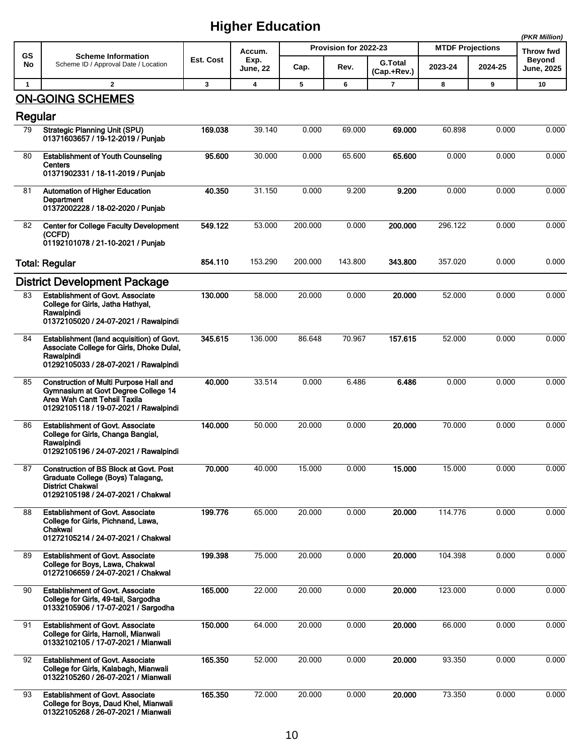|              |                                                                                                                                                               |           |                  |         |                       |                               |                         |         | (PKR Million)               |
|--------------|---------------------------------------------------------------------------------------------------------------------------------------------------------------|-----------|------------------|---------|-----------------------|-------------------------------|-------------------------|---------|-----------------------------|
| GS           | <b>Scheme Information</b>                                                                                                                                     |           | Accum.           |         | Provision for 2022-23 |                               | <b>MTDF Projections</b> |         | <b>Throw fwd</b>            |
| No           | Scheme ID / Approval Date / Location                                                                                                                          | Est. Cost | Exp.<br>June, 22 | Cap.    | Rev.                  | <b>G.Total</b><br>(Cap.+Rev.) | 2023-24                 | 2024-25 | <b>Beyond</b><br>June, 2025 |
| $\mathbf{1}$ | $\mathbf{2}$                                                                                                                                                  | 3         | 4                | 5       | 6                     | 7                             | 8                       | 9       | 10                          |
|              | <b>ON-GOING SCHEMES</b>                                                                                                                                       |           |                  |         |                       |                               |                         |         |                             |
| Regular      |                                                                                                                                                               |           |                  |         |                       |                               |                         |         |                             |
| 79           | <b>Strategic Planning Unit (SPU)</b><br>01371603657 / 19-12-2019 / Punjab                                                                                     | 169.038   | 39.140           | 0.000   | 69.000                | 69.000                        | 60.898                  | 0.000   | 0.000                       |
| 80           | <b>Establishment of Youth Counseling</b><br>Centers<br>01371902331 / 18-11-2019 / Punjab                                                                      | 95.600    | 30.000           | 0.000   | 65.600                | 65,600                        | 0.000                   | 0.000   | 0.000                       |
| 81           | <b>Automation of Higher Education</b><br>Department<br>01372002228 / 18-02-2020 / Punjab                                                                      | 40.350    | 31.150           | 0.000   | 9.200                 | 9.200                         | 0.000                   | 0.000   | 0.000                       |
| 82           | <b>Center for College Faculty Development</b><br>(CCFD)<br>01192101078 / 21-10-2021 / Punjab                                                                  | 549.122   | 53.000           | 200.000 | 0.000                 | 200.000                       | 296.122                 | 0.000   | 0.000                       |
|              | <b>Total: Regular</b>                                                                                                                                         | 854.110   | 153.290          | 200.000 | 143.800               | 343.800                       | 357.020                 | 0.000   | 0.000                       |
|              | <b>District Development Package</b>                                                                                                                           |           |                  |         |                       |                               |                         |         |                             |
| 83           | <b>Establishment of Govt. Associate</b><br>College for Girls, Jatha Hathyal,<br>Rawalpindi<br>01372105020 / 24-07-2021 / Rawalpindi                           | 130.000   | 58.000           | 20.000  | 0.000                 | 20.000                        | 52.000                  | 0.000   | 0.000                       |
| 84           | Establishment (land acquisition) of Govt.<br>Associate College for Girls, Dhoke Dulal,<br>Rawalpindi<br>01292105033 / 28-07-2021 / Rawalpindi                 | 345.615   | 136.000          | 86.648  | 70.967                | 157.615                       | 52.000                  | 0.000   | 0.000                       |
| 85           | <b>Construction of Multi Purpose Hall and</b><br>Gymnasium at Govt Degree College 14<br>Area Wah Cantt Tehsil Taxila<br>01292105118 / 19-07-2021 / Rawalpindi | 40.000    | 33.514           | 0.000   | 6.486                 | 6.486                         | 0.000                   | 0.000   | 0.000                       |
| 86           | <b>Establishment of Govt. Associate</b><br>College for Girls, Changa Bangial,<br>Rawalpindi<br>01292105196 / 24-07-2021 / Rawalpindi                          | 140.000   | 50.000           | 20.000  | 0.000                 | 20.000                        | 70.000                  | 0.000   | 0.000                       |
| 87           | <b>Construction of BS Block at Govt. Post</b><br>Graduate College (Boys) Talagang,<br><b>District Chakwal</b><br>01292105198 / 24-07-2021 / Chakwal           | 70.000    | 40.000           | 15.000  | 0.000                 | 15.000                        | 15.000                  | 0.000   | 0.000                       |
| 88           | <b>Establishment of Govt. Associate</b><br>College for Girls, Pichnand, Lawa,<br>Chakwal<br>01272105214 / 24-07-2021 / Chakwal                                | 199.776   | 65.000           | 20.000  | 0.000                 | 20.000                        | 114.776                 | 0.000   | 0.000                       |
| 89           | <b>Establishment of Govt. Associate</b><br>College for Boys, Lawa, Chakwal<br>01272106659 / 24-07-2021 / Chakwal                                              | 199.398   | 75.000           | 20.000  | 0.000                 | 20.000                        | 104.398                 | 0.000   | 0.000                       |
| 90           | <b>Establishment of Govt. Associate</b><br>College for Girls, 49-tail, Sargodha<br>01332105906 / 17-07-2021 / Sargodha                                        | 165.000   | 22.000           | 20.000  | 0.000                 | 20.000                        | 123.000                 | 0.000   | 0.000                       |
| 91           | <b>Establishment of Govt. Associate</b><br>College for Girls, Harnoli, Mianwali<br>01332102105 / 17-07-2021 / Mianwali                                        | 150.000   | 64.000           | 20.000  | 0.000                 | 20.000                        | 66.000                  | 0.000   | 0.000                       |
| 92           | <b>Establishment of Govt. Associate</b><br>College for Girls, Kalabagh, Mianwali<br>01322105260 / 26-07-2021 / Mianwali                                       | 165.350   | 52.000           | 20.000  | 0.000                 | 20.000                        | 93.350                  | 0.000   | 0.000                       |
| 93           | <b>Establishment of Govt. Associate</b><br>College for Boys, Daud Khel, Mianwali<br>01322105268 / 26-07-2021 / Mianwali                                       | 165.350   | 72.000           | 20.000  | 0.000                 | 20.000                        | 73.350                  | 0.000   | 0.000                       |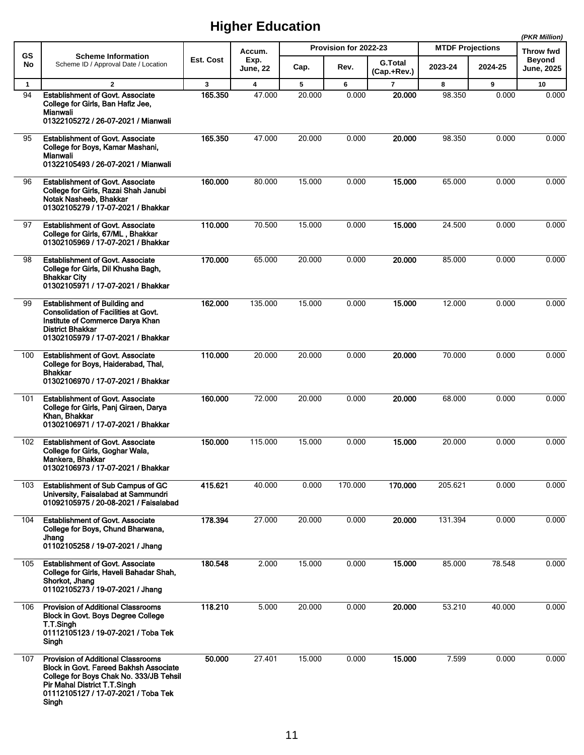|                 |                                                                                                                                                                                                                       |           |                         |        |                               |                |                                    |         | (PKR Million)              |
|-----------------|-----------------------------------------------------------------------------------------------------------------------------------------------------------------------------------------------------------------------|-----------|-------------------------|--------|-------------------------------|----------------|------------------------------------|---------|----------------------------|
| <b>GS</b><br>No | <b>Scheme Information</b><br>Scheme ID / Approval Date / Location                                                                                                                                                     | Est. Cost | Accum.<br>Exp.          | Cap.   | Provision for 2022-23<br>Rev. | <b>G.Total</b> | <b>MTDF Projections</b><br>2023-24 | 2024-25 | Throw fwd<br><b>Beyond</b> |
|                 |                                                                                                                                                                                                                       |           | <b>June, 22</b>         |        |                               | (Cap.+Rev.)    |                                    |         | <b>June, 2025</b>          |
| $\mathbf{1}$    | $\overline{2}$                                                                                                                                                                                                        | 3         | $\overline{\mathbf{4}}$ | 5      | 6                             | $\overline{7}$ | 8                                  | 9       | 10                         |
| 94              | <b>Establishment of Govt. Associate</b><br>College for Girls, Ban Hafiz Jee,<br>Mianwali<br>01322105272 / 26-07-2021 / Mianwali                                                                                       | 165.350   | 47.000                  | 20.000 | 0.000                         | 20.000         | 98.350                             | 0.000   | 0.000                      |
| 95              | <b>Establishment of Govt. Associate</b><br>College for Boys, Kamar Mashani,<br>Mianwali<br>01322105493 / 26-07-2021 / Mianwali                                                                                        | 165.350   | 47.000                  | 20.000 | 0.000                         | 20.000         | 98.350                             | 0.000   | 0.000                      |
| 96              | <b>Establishment of Govt. Associate</b><br>College for Girls, Razai Shah Janubi<br>Notak Nasheeb, Bhakkar<br>01302105279 / 17-07-2021 / Bhakkar                                                                       | 160.000   | 80.000                  | 15.000 | 0.000                         | 15.000         | 65.000                             | 0.000   | 0.000                      |
| 97              | <b>Establishment of Govt. Associate</b><br>College for Girls, 67/ML, Bhakkar<br>01302105969 / 17-07-2021 / Bhakkar                                                                                                    | 110.000   | 70.500                  | 15.000 | 0.000                         | 15,000         | 24.500                             | 0.000   | 0.000                      |
| 98              | <b>Establishment of Govt. Associate</b><br>College for Girls, Dil Khusha Bagh,<br>Bhakkar City<br>01302105971 / 17-07-2021 / Bhakkar                                                                                  | 170.000   | 65.000                  | 20.000 | 0.000                         | 20.000         | 85.000                             | 0.000   | 0.000                      |
| 99              | <b>Establishment of Building and</b><br><b>Consolidation of Facilities at Govt.</b><br>Institute of Commerce Darya Khan<br>District Bhakkar<br>01302105979 / 17-07-2021 / Bhakkar                                     | 162.000   | 135.000                 | 15.000 | 0.000                         | 15.000         | 12.000                             | 0.000   | 0.000                      |
| 100             | <b>Establishment of Govt. Associate</b><br>College for Boys, Haiderabad, Thal,<br>Bhakkar<br>01302106970 / 17-07-2021 / Bhakkar                                                                                       | 110.000   | 20.000                  | 20.000 | 0.000                         | 20,000         | 70.000                             | 0.000   | 0.000                      |
| 101             | <b>Establishment of Govt. Associate</b><br>College for Girls, Panj Giraen, Darya<br>Khan, Bhakkar<br>01302106971 / 17-07-2021 / Bhakkar                                                                               | 160.000   | 72.000                  | 20.000 | 0.000                         | 20.000         | 68.000                             | 0.000   | 0.000                      |
| 102             | <b>Establishment of Govt. Associate</b><br>College for Girls, Goghar Wala,<br>Mankera, Bhakkar<br>01302106973 / 17-07-2021 / Bhakkar                                                                                  | 150.000   | 115.000                 | 15.000 | 0.000                         | 15.000         | 20.000                             | 0.000   | 0.000                      |
| 103             | Establishment of Sub Campus of GC<br>University, Faisalabad at Sammundri<br>01092105975 / 20-08-2021 / Faisalabad                                                                                                     | 415 621   | 40.000                  | 0.000  | 170.000                       | 170.000        | 205.621                            | 0.000   | 0.000                      |
| 104             | <b>Establishment of Govt. Associate</b><br>College for Boys, Chund Bharwana,<br>Jhang<br>01102105258 / 19-07-2021 / Jhang                                                                                             | 178.394   | 27.000                  | 20.000 | 0.000                         | 20.000         | 131.394                            | 0.000   | 0.000                      |
| 105             | <b>Establishment of Govt. Associate</b><br>College for Girls, Haveli Bahadar Shah,<br>Shorkot, Jhang<br>01102105273 / 19-07-2021 / Jhang                                                                              | 180.548   | 2.000                   | 15.000 | 0.000                         | 15.000         | 85.000                             | 78.548  | 0.000                      |
| 106             | <b>Provision of Additional Classrooms</b><br>Block in Govt. Boys Degree College<br>T.T.Singh<br>01112105123 / 19-07-2021 / Toba Tek<br>Singh                                                                          | 118.210   | 5.000                   | 20.000 | 0.000                         | 20.000         | 53.210                             | 40.000  | 0.000                      |
| 107             | <b>Provision of Additional Classrooms</b><br>Block in Govt. Fareed Bakhsh Associate<br>College for Boys Chak No. 333/JB Tehsil<br><b>Pir Mahal District T.T.Singh</b><br>01112105127 / 17-07-2021 / Toba Tek<br>Singh | 50.000    | 27.401                  | 15.000 | 0.000                         | 15.000         | 7.599                              | 0.000   | 0.000                      |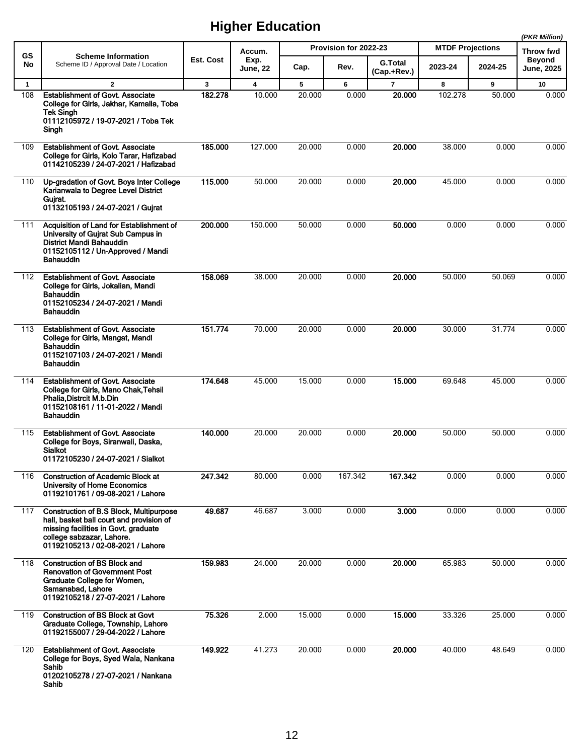|              |                                                                                                                                                                                               |           |                         |        |                       |                               |                         |         | (PKR Million)              |
|--------------|-----------------------------------------------------------------------------------------------------------------------------------------------------------------------------------------------|-----------|-------------------------|--------|-----------------------|-------------------------------|-------------------------|---------|----------------------------|
| <b>GS</b>    | <b>Scheme Information</b>                                                                                                                                                                     | Est. Cost | Accum.<br>Exp.          |        | Provision for 2022-23 |                               | <b>MTDF Projections</b> |         | Throw fwd<br><b>Beyond</b> |
| No           | Scheme ID / Approval Date / Location                                                                                                                                                          |           | <b>June, 22</b>         | Cap.   | Rev.                  | <b>G.Total</b><br>(Cap.+Rev.) | 2023-24                 | 2024-25 | <b>June, 2025</b>          |
| $\mathbf{1}$ | $\overline{2}$                                                                                                                                                                                | 3         | $\overline{\mathbf{4}}$ | 5      | 6                     | $\overline{7}$                | 8                       | 9       | 10                         |
| 108          | <b>Establishment of Govt. Associate</b><br>College for Girls, Jakhar, Kamalia, Toba<br>Tek Singh<br>01112105972 / 19-07-2021 / Toba Tek<br>Singh                                              | 182.278   | 10.000                  | 20.000 | 0.000                 | 20.000                        | 102.278                 | 50.000  | 0.000                      |
| 109          | <b>Establishment of Govt. Associate</b><br>College for Girls, Kolo Tarar, Hafizabad<br>01142105239 / 24-07-2021 / Hafizabad                                                                   | 185.000   | 127.000                 | 20.000 | 0.000                 | 20.000                        | 38.000                  | 0.000   | 0.000                      |
| 110          | Up-gradation of Govt. Boys Inter College<br>Karianwala to Degree Level District<br>Gujrat.<br>01132105193 / 24-07-2021 / Gujrat                                                               | 115.000   | 50.000                  | 20.000 | 0.000                 | 20.000                        | 45.000                  | 0.000   | 0.000                      |
| 111          | Acquisition of Land for Establishment of<br>University of Gujrat Sub Campus in<br>District Mandi Bahauddin<br>01152105112 / Un-Approved / Mandi<br><b>Bahauddin</b>                           | 200.000   | 150.000                 | 50.000 | 0.000                 | 50,000                        | 0.000                   | 0.000   | 0.000                      |
| 112          | <b>Establishment of Govt. Associate</b><br>College for Girls, Jokalian, Mandi<br><b>Bahauddin</b><br>01152105234 / 24-07-2021 / Mandi<br>Bahauddin                                            | 158.069   | 38.000                  | 20.000 | 0.000                 | 20.000                        | 50.000                  | 50.069  | 0.000                      |
| 113          | <b>Establishment of Govt. Associate</b><br>College for Girls, Mangat, Mandi<br>Bahauddin<br>01152107103 / 24-07-2021 / Mandi<br>Bahauddin                                                     | 151.774   | 70.000                  | 20.000 | 0.000                 | 20.000                        | 30.000                  | 31.774  | 0.000                      |
| 114          | <b>Establishment of Govt. Associate</b><br>College for Girls, Mano Chak, Tehsil<br>Phalia, Distrcit M.b.Din<br>01152108161 / 11-01-2022 / Mandi<br>Bahauddin                                  | 174.648   | 45.000                  | 15.000 | 0.000                 | 15,000                        | 69.648                  | 45.000  | 0.000                      |
| 115          | <b>Establishment of Govt. Associate</b><br>College for Boys, Siranwali, Daska,<br>Sialkot<br>01172105230 / 24-07-2021 / Sialkot                                                               | 140.000   | 20.000                  | 20.000 | 0.000                 | 20.000                        | 50.000                  | 50.000  | 0.000                      |
| 116          | <b>Construction of Academic Block at</b><br>University of Home Economics<br>01192101761 / 09-08-2021 / Lahore                                                                                 | 247.342   | 80.000                  | 0.000  | 167.342               | 167.342                       | 0.000                   | 0.000   | 0.000                      |
| 117          | Construction of B.S Block, Multipurpose<br>hall, basket ball court and provision of<br>missing facilities in Govt. graduate<br>college sabzazar, Lahore.<br>01192105213 / 02-08-2021 / Lahore | 49.687    | 46.687                  | 3.000  | 0.000                 | 3.000                         | 0.000                   | 0.000   | 0.000                      |
| 118          | <b>Construction of BS Block and</b><br><b>Renovation of Government Post</b><br>Graduate College for Women,<br>Samanabad, Lahore<br>01192105218 / 27-07-2021 / Lahore                          | 159.983   | 24.000                  | 20.000 | 0.000                 | 20.000                        | 65.983                  | 50.000  | 0.000                      |
| 119          | <b>Construction of BS Block at Govt</b><br>Graduate College, Township, Lahore<br>01192155007 / 29-04-2022 / Lahore                                                                            | 75.326    | 2.000                   | 15.000 | 0.000                 | 15.000                        | 33.326                  | 25.000  | 0.000                      |
| 120          | <b>Establishment of Govt. Associate</b><br>College for Boys, Syed Wala, Nankana<br>Sahib<br>01202105278 / 27-07-2021 / Nankana<br>Sahib                                                       | 149.922   | 41.273                  | 20.000 | 0.000                 | 20.000                        | 40.000                  | 48.649  | 0.000                      |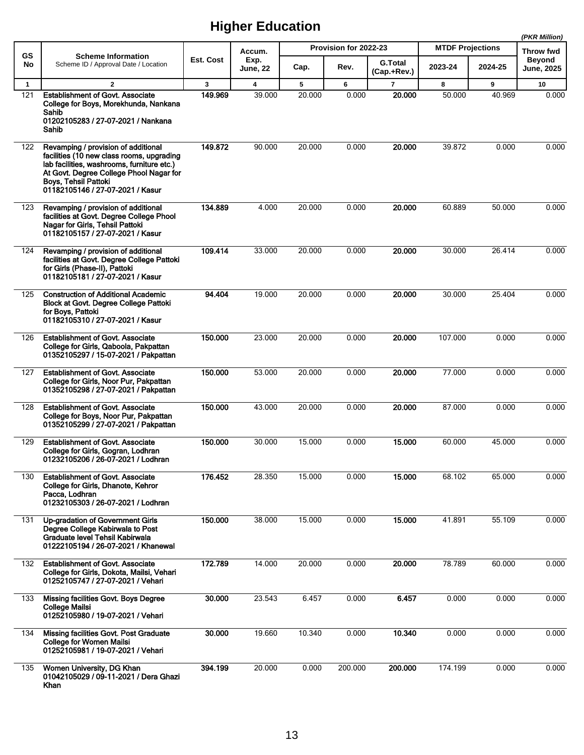|              |                                                                                                                                                                                                                                       |              |                         |        |                       |                               |                         |         | (PKR Million)              |
|--------------|---------------------------------------------------------------------------------------------------------------------------------------------------------------------------------------------------------------------------------------|--------------|-------------------------|--------|-----------------------|-------------------------------|-------------------------|---------|----------------------------|
| GS           | <b>Scheme Information</b>                                                                                                                                                                                                             |              | Accum.                  |        | Provision for 2022-23 |                               | <b>MTDF Projections</b> |         | Throw fwd<br><b>Beyond</b> |
| No           | Scheme ID / Approval Date / Location                                                                                                                                                                                                  | Est. Cost    | Exp.<br><b>June, 22</b> | Cap.   | Rev.                  | <b>G.Total</b><br>(Cap.+Rev.) | 2023-24                 | 2024-25 | <b>June, 2025</b>          |
| $\mathbf{1}$ | $\overline{2}$                                                                                                                                                                                                                        | $\mathbf{3}$ | 4                       | 5      | 6                     | $\overline{7}$                | 8                       | 9       | 10                         |
| 121          | <b>Establishment of Govt. Associate</b><br>College for Boys, Morekhunda, Nankana<br>Sahib<br>01202105283 / 27-07-2021 / Nankana<br>Sahib                                                                                              | 149.969      | 39.000                  | 20.000 | 0.000                 | 20.000                        | 50.000                  | 40.969  | 0.000                      |
| 122          | Revamping / provision of additional<br>facilities (10 new class rooms, upgrading<br>lab facilities, washrooms, furniture etc.)<br>At Govt. Degree College Phool Nagar for<br>Boys, Tehsil Pattoki<br>01182105146 / 27-07-2021 / Kasur | 149.872      | 90.000                  | 20.000 | 0.000                 | 20.000                        | 39.872                  | 0.000   | 0.000                      |
| 123          | Revamping / provision of additional<br>facilities at Govt. Degree College Phool<br>Nagar for Girls, Tehsil Pattoki<br>01182105157 / 27-07-2021 / Kasur                                                                                | 134.889      | 4.000                   | 20.000 | 0.000                 | 20.000                        | 60.889                  | 50.000  | 0.000                      |
| 124          | Revamping / provision of additional<br>facilities at Govt. Degree College Pattoki<br>for Girls (Phase-II), Pattoki<br>01182105181 / 27-07-2021 / Kasur                                                                                | 109.414      | 33.000                  | 20.000 | 0.000                 | 20.000                        | 30.000                  | 26.414  | 0.000                      |
| 125          | <b>Construction of Additional Academic</b><br>Block at Govt. Degree College Pattoki<br>for Boys, Pattoki<br>01182105310 / 27-07-2021 / Kasur                                                                                          | 94.404       | 19.000                  | 20.000 | 0.000                 | 20.000                        | 30.000                  | 25.404  | 0.000                      |
| 126          | <b>Establishment of Govt. Associate</b><br>College for Girls, Qaboola, Pakpattan<br>01352105297 / 15-07-2021 / Pakpattan                                                                                                              | 150.000      | 23.000                  | 20.000 | 0.000                 | 20.000                        | 107.000                 | 0.000   | 0.000                      |
| 127          | <b>Establishment of Govt. Associate</b><br>College for Girls, Noor Pur, Pakpattan<br>01352105298 / 27-07-2021 / Pakpattan                                                                                                             | 150.000      | 53.000                  | 20.000 | 0.000                 | 20.000                        | 77.000                  | 0.000   | 0.000                      |
| 128          | <b>Establishment of Govt. Associate</b><br>College for Boys, Noor Pur, Pakpattan<br>01352105299 / 27-07-2021 / Pakpattan                                                                                                              | 150.000      | 43.000                  | 20.000 | 0.000                 | 20.000                        | 87.000                  | 0.000   | 0.000                      |
| 129          | <b>Establishment of Govt. Associate</b><br>College for Girls, Gogran, Lodhran<br>01232105206 / 26-07-2021 / Lodhran                                                                                                                   | 150.000      | 30.000                  | 15.000 | 0.000                 | 15.000                        | 60.000                  | 45.000  | 0.000                      |
| 130          | <b>Establishment of Govt. Associate</b><br>College for Girls, Dhanote, Kehror<br>Pacca, Lodhran<br>01232105303 / 26-07-2021 / Lodhran                                                                                                 | 176.452      | 28.350                  | 15.000 | 0.000                 | 15.000                        | 68.102                  | 65.000  | 0.000                      |
| 131          | <b>Up-gradation of Government Girls</b><br>Degree College Kabirwala to Post<br>Graduate level Tehsil Kabirwala<br>01222105194 / 26-07-2021 / Khanewal                                                                                 | 150.000      | 38.000                  | 15.000 | 0.000                 | 15.000                        | 41.891                  | 55.109  | 0.000                      |
| 132          | <b>Establishment of Govt. Associate</b><br>College for Girls, Dokota, Mailsi, Vehari<br>01252105747 / 27-07-2021 / Vehari                                                                                                             | 172.789      | 14.000                  | 20.000 | 0.000                 | 20.000                        | 78.789                  | 60.000  | 0.000                      |
| 133          | Missing facilities Govt. Boys Degree<br><b>College Mailsi</b><br>01252105980 / 19-07-2021 / Vehari                                                                                                                                    | 30.000       | 23.543                  | 6.457  | 0.000                 | 6.457                         | 0.000                   | 0.000   | 0.000                      |
| 134          | Missing facilities Govt. Post Graduate<br><b>College for Women Mailsi</b><br>01252105981 / 19-07-2021 / Vehari                                                                                                                        | 30.000       | 19.660                  | 10.340 | 0.000                 | 10.340                        | 0.000                   | 0.000   | 0.000                      |
| 135          | Women University, DG Khan<br>01042105029 / 09-11-2021 / Dera Ghazi<br>Khan                                                                                                                                                            | 394.199      | 20.000                  | 0.000  | 200.000               | 200.000                       | 174.199                 | 0.000   | 0.000                      |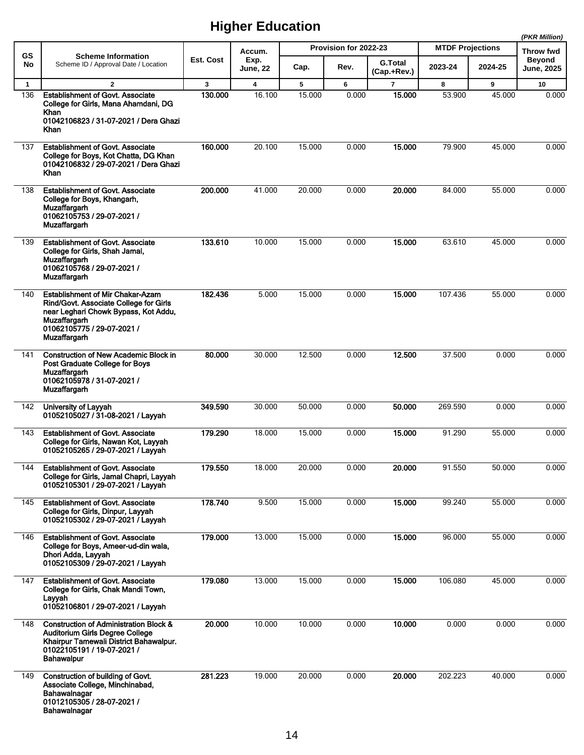|              |                                                                                                                                                                                                       |         |                             |        |                       |                               |                         |         | (PKR Million)              |
|--------------|-------------------------------------------------------------------------------------------------------------------------------------------------------------------------------------------------------|---------|-----------------------------|--------|-----------------------|-------------------------------|-------------------------|---------|----------------------------|
| <b>GS</b>    | <b>Scheme Information</b>                                                                                                                                                                             |         | Accum.<br>Est. Cost<br>Exp. |        | Provision for 2022-23 |                               | <b>MTDF Projections</b> |         | Throw fwd<br><b>Beyond</b> |
| No           | Scheme ID / Approval Date / Location                                                                                                                                                                  |         | <b>June, 22</b>             | Cap.   | Rev.                  | <b>G.Total</b><br>(Cap.+Rev.) | 2023-24                 | 2024-25 | <b>June, 2025</b>          |
| $\mathbf{1}$ | $\overline{2}$                                                                                                                                                                                        | 3       | $\overline{\mathbf{4}}$     | 5      | 6                     | $\overline{7}$                | 8                       | 9       | 10                         |
| 136          | <b>Establishment of Govt. Associate</b><br>College for Girls, Mana Ahamdani, DG<br>Khan                                                                                                               | 130.000 | 16.100                      | 15.000 | 0.000                 | 15.000                        | 53.900                  | 45.000  | 0.000                      |
|              | 01042106823 / 31-07-2021 / Dera Ghazi<br><b>Khan</b>                                                                                                                                                  |         |                             |        |                       |                               |                         |         |                            |
| 137          | <b>Establishment of Govt. Associate</b><br>College for Boys, Kot Chatta, DG Khan<br>01042106832 / 29-07-2021 / Dera Ghazi<br>Khan                                                                     | 160.000 | 20.100                      | 15.000 | 0.000                 | 15.000                        | 79.900                  | 45.000  | 0.000                      |
| 138          | <b>Establishment of Govt. Associate</b><br>College for Boys, Khangarh,<br>Muzaffargarh<br>01062105753 / 29-07-2021 /<br><b>Muzaffargarh</b>                                                           | 200.000 | 41.000                      | 20.000 | 0.000                 | 20.000                        | 84.000                  | 55.000  | 0.000                      |
| 139          | <b>Establishment of Govt. Associate</b><br>College for Girls, Shah Jamal,<br><b>Muzaffargarh</b><br>01062105768 / 29-07-2021 /<br><b>Muzaffargarh</b>                                                 | 133.610 | 10.000                      | 15.000 | 0.000                 | 15.000                        | 63.610                  | 45.000  | 0.000                      |
| 140          | <b>Establishment of Mir Chakar-Azam</b><br>Rind/Govt. Associate College for Girls<br>near Leghari Chowk Bypass, Kot Addu,<br><b>Muzaffargarh</b><br>01062105775 / 29-07-2021 /<br><b>Muzaffargarh</b> | 182.436 | 5.000                       | 15.000 | 0.000                 | 15.000                        | 107.436                 | 55.000  | 0.000                      |
| 141          | <b>Construction of New Academic Block in</b><br>Post Graduate College for Boys<br><b>Muzaffargarh</b><br>01062105978 / 31-07-2021 /<br><b>Muzaffargarh</b>                                            | 80.000  | 30.000                      | 12.500 | 0.000                 | 12.500                        | 37.500                  | 0.000   | 0.000                      |
| 142          | University of Layyah<br>01052105027 / 31-08-2021 / Layyah                                                                                                                                             | 349.590 | 30.000                      | 50.000 | 0.000                 | 50.000                        | 269.590                 | 0.000   | 0.000                      |
| 143          | <b>Establishment of Govt. Associate</b><br>College for Girls, Nawan Kot, Layyah<br>01052105265 / 29-07-2021 / Layyah                                                                                  | 179.290 | 18.000                      | 15.000 | 0.000                 | 15.000                        | 91.290                  | 55.000  | 0.000                      |
| 144          | <b>Establishment of Govt. Associate</b><br>College for Girls, Jamal Chapri, Layyah<br>01052105301 / 29-07-2021 / Layyah                                                                               | 179.550 | 18.000                      | 20.000 | 0.000                 | 20.000                        | 91.550                  | 50.000  | 0.000                      |
| 145          | <b>Establishment of Govt. Associate</b><br>College for Girls, Dinpur, Layyah<br>01052105302 / 29-07-2021 / Layyah                                                                                     | 178.740 | 9.500                       | 15.000 | 0.000                 | 15.000                        | 99.240                  | 55.000  | 0.000                      |
| 146          | <b>Establishment of Govt. Associate</b><br>College for Boys, Ameer-ud-din wala,<br>Dhori Adda, Layyah<br>01052105309 / 29-07-2021 / Layyah                                                            | 179.000 | 13.000                      | 15.000 | 0.000                 | 15.000                        | 96.000                  | 55.000  | 0.000                      |
| 147          | <b>Establishment of Govt. Associate</b><br>College for Girls, Chak Mandi Town,<br>Lavvah<br>01052106801 / 29-07-2021 / Layyah                                                                         | 179.080 | 13.000                      | 15.000 | 0.000                 | 15.000                        | 106.080                 | 45.000  | 0.000                      |
| 148          | <b>Construction of Administration Block &amp;</b><br>Auditorium Girls Degree College<br>Khairpur Tamewali District Bahawalpur.<br>01022105191 / 19-07-2021 /<br><b>Bahawalpur</b>                     | 20.000  | 10.000                      | 10.000 | 0.000                 | 10.000                        | 0.000                   | 0.000   | 0.000                      |
| 149          | Construction of building of Govt.<br>Associate College, Minchinabad,<br>Bahawalnagar<br>01012105305 / 28-07-2021 /<br>Bahawalnagar                                                                    | 281.223 | 19.000                      | 20.000 | 0.000                 | 20.000                        | 202.223                 | 40.000  | 0.000                      |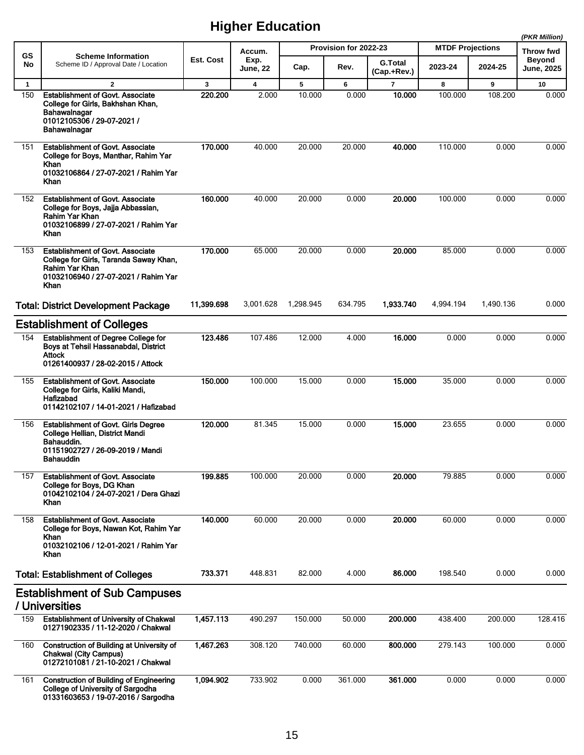|              |                                                                                                                                                     |                  |                         |           |                       |                               |                         |           | (PKR Million)               |
|--------------|-----------------------------------------------------------------------------------------------------------------------------------------------------|------------------|-------------------------|-----------|-----------------------|-------------------------------|-------------------------|-----------|-----------------------------|
| <b>GS</b>    | <b>Scheme Information</b>                                                                                                                           |                  | Accum.                  |           | Provision for 2022-23 |                               | <b>MTDF Projections</b> |           | <b>Throw fwd</b>            |
| No           | Scheme ID / Approval Date / Location                                                                                                                | <b>Est. Cost</b> | Exp.<br><b>June, 22</b> | Cap.      | Rev.                  | <b>G.Total</b><br>(Cap.+Rev.) | 2023-24                 | 2024-25   | <b>Beyond</b><br>June, 2025 |
| $\mathbf{1}$ | $\mathbf{2}$                                                                                                                                        | 3                | $\overline{\mathbf{4}}$ | 5         | 6                     | $\overline{7}$                | 8                       | 9         | 10                          |
| 150          | <b>Establishment of Govt. Associate</b><br>College for Girls, Bakhshan Khan,<br>Bahawalnagar<br>01012105306 / 29-07-2021 /<br>Bahawalnagar          | 220.200          | 2.000                   | 10.000    | 0.000                 | 10.000                        | 100.000                 | 108.200   | 0.000                       |
| 151          | <b>Establishment of Govt. Associate</b><br>College for Boys, Manthar, Rahim Yar<br>Khan<br>01032106864 / 27-07-2021 / Rahim Yar<br>Khan             | 170.000          | 40.000                  | 20.000    | 20.000                | 40.000                        | 110.000                 | 0.000     | 0.000                       |
| 152          | <b>Establishment of Govt. Associate</b><br>College for Boys, Jajja Abbassian,<br>Rahim Yar Khan<br>01032106899 / 27-07-2021 / Rahim Yar<br>Khan     | 160.000          | 40.000                  | 20.000    | 0.000                 | 20.000                        | 100.000                 | 0.000     | 0.000                       |
| 153          | <b>Establishment of Govt. Associate</b><br>College for Girls, Taranda Saway Khan,<br>Rahim Yar Khan<br>01032106940 / 27-07-2021 / Rahim Yar<br>Khan | 170.000          | 65.000                  | 20.000    | 0.000                 | 20.000                        | 85.000                  | 0.000     | 0.000                       |
|              | <b>Total: District Development Package</b>                                                                                                          | 11,399.698       | 3,001.628               | 1,298.945 | 634.795               | 1,933.740                     | 4,994.194               | 1,490.136 | 0.000                       |
|              | <b>Establishment of Colleges</b>                                                                                                                    |                  |                         |           |                       |                               |                         |           |                             |
| 154          | <b>Establishment of Degree College for</b><br>Boys at Tehsil Hassanabdal, District<br>Attock<br>01261400937 / 28-02-2015 / Attock                   | 123.486          | 107.486                 | 12.000    | 4.000                 | 16,000                        | 0.000                   | 0.000     | 0.000                       |
| 155          | <b>Establishment of Govt. Associate</b><br>College for Girls, Kaliki Mandi,<br>Hafizabad<br>01142102107 / 14-01-2021 / Hafizabad                    | 150.000          | 100.000                 | 15.000    | 0.000                 | 15.000                        | 35.000                  | 0.000     | 0.000                       |
| 156          | <b>Establishment of Govt. Girls Degree</b><br>College Hellian, District Mandi<br>Bahauddin.<br>01151902727 / 26-09-2019 / Mandi<br><b>Bahauddin</b> | 120.000          | 81.345                  | 15.000    | 0.000                 | 15.000                        | 23.655                  | 0.000     | 0.000                       |
| 157          | <b>Establishment of Govt. Associate</b><br>College for Boys, DG Khan<br>01042102104 / 24-07-2021 / Dera Ghazi<br>Khan                               | 199.885          | 100.000                 | 20.000    | 0.000                 | 20.000                        | 79.885                  | 0.000     | 0.000                       |
| 158          | <b>Establishment of Govt. Associate</b><br>College for Boys, Nawan Kot, Rahim Yar<br>Khan<br>01032102106 / 12-01-2021 / Rahim Yar<br>Khan           | 140.000          | 60.000                  | 20.000    | 0.000                 | 20.000                        | 60.000                  | 0.000     | 0.000                       |
|              | <b>Total: Establishment of Colleges</b>                                                                                                             | 733.371          | 448.831                 | 82.000    | 4.000                 | 86.000                        | 198.540                 | 0.000     | 0.000                       |
|              | <b>Establishment of Sub Campuses</b><br>/ Universities                                                                                              |                  |                         |           |                       |                               |                         |           |                             |
| 159          | <b>Establishment of University of Chakwal</b><br>01271902335 / 11-12-2020 / Chakwal                                                                 | 1,457.113        | 490.297                 | 150.000   | 50.000                | 200.000                       | 438.400                 | 200.000   | 128.416                     |
| 160          | <b>Construction of Building at University of</b><br><b>Chakwal (City Campus)</b><br>01272101081 / 21-10-2021 / Chakwal                              | 1,467.263        | 308.120                 | 740.000   | 60.000                | 800.000                       | 279.143                 | 100.000   | 0.000                       |
| 161          | <b>Construction of Building of Engineering</b><br><b>College of University of Sargodha</b><br>01331603653 / 19-07-2016 / Sargodha                   | 1,094.902        | 733.902                 | 0.000     | 361.000               | 361.000                       | 0.000                   | 0.000     | 0.000                       |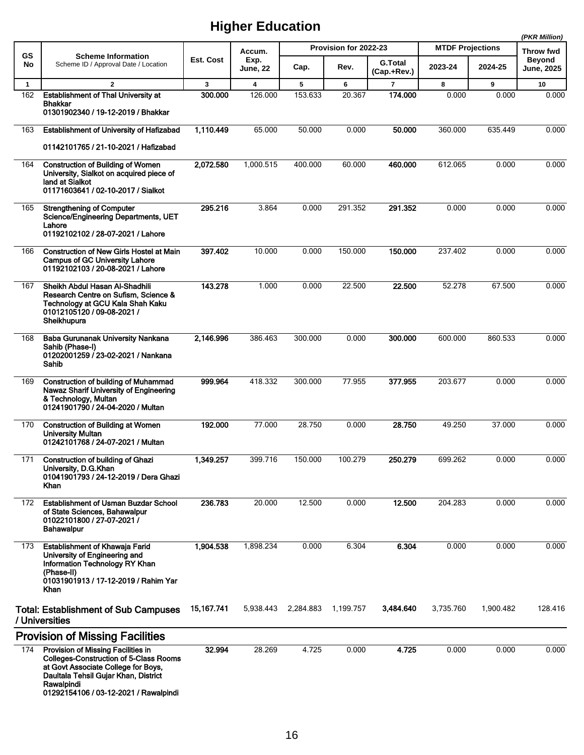|              |                                                                                                                                                                                                                           |            |                         |           |                       |                               |                         |           | (PKR Million)                      |
|--------------|---------------------------------------------------------------------------------------------------------------------------------------------------------------------------------------------------------------------------|------------|-------------------------|-----------|-----------------------|-------------------------------|-------------------------|-----------|------------------------------------|
| GS           | <b>Scheme Information</b>                                                                                                                                                                                                 |            | Accum.                  |           | Provision for 2022-23 |                               | <b>MTDF Projections</b> |           | Throw fwd                          |
| No           | Scheme ID / Approval Date / Location                                                                                                                                                                                      | Est. Cost  | Exp.<br><b>June, 22</b> | Cap.      | Rev.                  | <b>G.Total</b><br>(Cap.+Rev.) | 2023-24                 | 2024-25   | <b>Beyond</b><br><b>June, 2025</b> |
| $\mathbf{1}$ | $\overline{2}$                                                                                                                                                                                                            | 3          | $\overline{\mathbf{4}}$ | 5         | 6                     | $\overline{7}$                | 8                       | 9         | 10                                 |
| 162          | <b>Establishment of Thal University at</b><br>Bhakkar<br>01301902340 / 19-12-2019 / Bhakkar                                                                                                                               | 300.000    | 126.000                 | 153.633   | 20.367                | 174.000                       | 0.000                   | 0.000     | 0.000                              |
| 163          | <b>Establishment of University of Hafizabad</b>                                                                                                                                                                           | 1,110.449  | 65.000                  | 50.000    | 0.000                 | 50.000                        | 360.000                 | 635.449   | 0.000                              |
|              | 01142101765 / 21-10-2021 / Hafizabad                                                                                                                                                                                      |            |                         |           |                       |                               |                         |           |                                    |
| 164          | <b>Construction of Building of Women</b><br>University, Sialkot on acquired piece of<br>land at Sialkot<br>01171603641 / 02-10-2017 / Sialkot                                                                             | 2.072.580  | 1,000.515               | 400.000   | 60.000                | 460.000                       | 612.065                 | 0.000     | 0.000                              |
| 165          | <b>Strengthening of Computer</b><br>Science/Engineering Departments, UET<br>Lahore<br>01192102102 / 28-07-2021 / Lahore                                                                                                   | 295.216    | 3.864                   | 0.000     | 291.352               | 291.352                       | 0.000                   | 0.000     | 0.000                              |
| 166          | <b>Construction of New Girls Hostel at Main</b><br><b>Campus of GC University Lahore</b><br>01192102103 / 20-08-2021 / Lahore                                                                                             | 397.402    | 10.000                  | 0.000     | 150.000               | 150.000                       | 237.402                 | 0.000     | 0.000                              |
| 167          | Sheikh Abdul Hasan Al-Shadhili<br>Research Centre on Sufism, Science &<br>Technology at GCU Kala Shah Kaku<br>01012105120 / 09-08-2021 /<br>Sheikhupura                                                                   | 143.278    | 1.000                   | 0.000     | 22.500                | 22.500                        | 52.278                  | 67.500    | 0.000                              |
| 168          | Baba Gurunanak University Nankana<br>Sahib (Phase-I)<br>01202001259 / 23-02-2021 / Nankana<br>Sahib                                                                                                                       | 2,146.996  | 386.463                 | 300.000   | 0.000                 | 300,000                       | 600.000                 | 860.533   | 0.000                              |
| 169          | <b>Construction of building of Muhammad</b><br>Nawaz Sharif University of Engineering<br>& Technology, Multan<br>01241901790 / 24-04-2020 / Multan                                                                        | 999.964    | 418.332                 | 300.000   | 77.955                | 377.955                       | 203.677                 | 0.000     | 0.000                              |
| 170          | <b>Construction of Building at Women</b><br><b>University Multan</b><br>01242101768 / 24-07-2021 / Multan                                                                                                                 | 192.000    | 77.000                  | 28.750    | 0.000                 | 28.750                        | 49.250                  | 37.000    | 0.000                              |
| 171          | Construction of building of Ghazi<br>University, D.G.Khan<br>01041901793 / 24-12-2019 / Dera Ghazi<br>Khan                                                                                                                | 1,349.257  | 399.716                 | 150.000   | 100.279               | 250.279                       | 699.262                 | 0.000     | 0.000                              |
| 172          | <b>Establishment of Usman Buzdar School</b><br>of State Sciences, Bahawalpur<br>01022101800 / 27-07-2021 /<br><b>Bahawalpur</b>                                                                                           | 236.783    | 20.000                  | 12.500    | 0.000                 | 12.500                        | 204.283                 | 0.000     | 0.000                              |
| 173          | <b>Establishment of Khawaja Farid</b><br>University of Engineering and<br>Information Technology RY Khan<br>(Phase-II)<br>01031901913 / 17-12-2019 / Rahim Yar<br>Khan                                                    | 1,904.538  | 1,898.234               | 0.000     | 6.304                 | 6.304                         | 0.000                   | 0.000     | 0.000                              |
|              | <b>Total: Establishment of Sub Campuses</b><br>/ Universities                                                                                                                                                             | 15,167.741 | 5,938.443               | 2,284.883 | 1,199.757             | 3,484.640                     | 3,735.760               | 1,900.482 | 128.416                            |
|              | <b>Provision of Missing Facilities</b>                                                                                                                                                                                    |            |                         |           |                       |                               |                         |           |                                    |
| 174          | Provision of Missing Facilities in<br><b>Colleges-Construction of 5-Class Rooms</b><br>at Govt Associate College for Boys,<br>Daultala Tehsil Gujar Khan, District<br>Rawalpindi<br>01292154106 / 03-12-2021 / Rawalpindi | 32.994     | 28.269                  | 4.725     | 0.000                 | 4.725                         | 0.000                   | 0.000     | 0.000                              |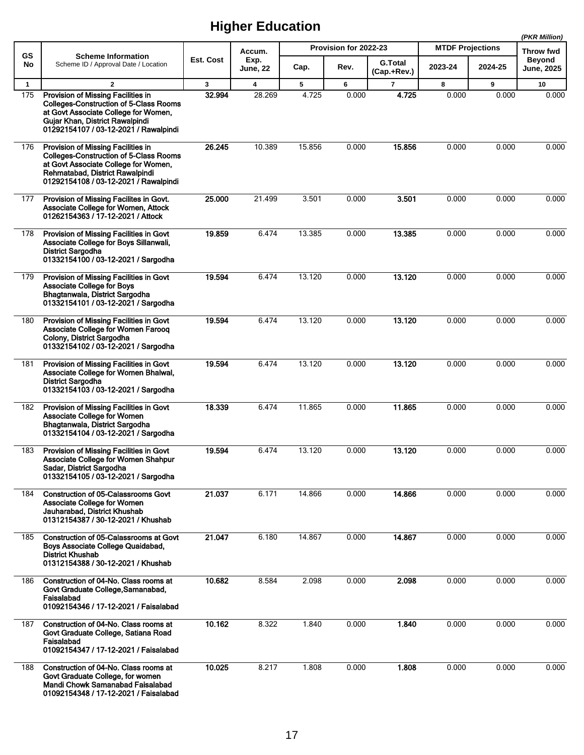|              |                                                                                                                                                                                                         |                  |                         |        |                       |                               |                         |         | (PKR Million)               |
|--------------|---------------------------------------------------------------------------------------------------------------------------------------------------------------------------------------------------------|------------------|-------------------------|--------|-----------------------|-------------------------------|-------------------------|---------|-----------------------------|
| <b>GS</b>    | <b>Scheme Information</b>                                                                                                                                                                               |                  | Accum.                  |        | Provision for 2022-23 |                               | <b>MTDF Projections</b> |         | Throw fwd                   |
| No           | Scheme ID / Approval Date / Location                                                                                                                                                                    | <b>Est. Cost</b> | Exp.<br><b>June, 22</b> | Cap.   | Rev.                  | <b>G.Total</b><br>(Cap.+Rev.) | 2023-24                 | 2024-25 | Beyond<br><b>June, 2025</b> |
| $\mathbf{1}$ | $\mathbf{2}$                                                                                                                                                                                            | $\mathbf{3}$     | 4                       | 5      | 6                     | 7                             | 8                       | 9       | 10                          |
| 175          | Provision of Missing Facilities in<br>Colleges-Construction of 5-Class Rooms<br>at Govt Associate College for Women,<br>Gujar Khan, District Rawalpindi<br>01292154107 / 03-12-2021 / Rawalpindi        | 32.994           | 28.269                  | 4.725  | 0.000                 | 4.725                         | 0.000                   | 0.000   | 0.000                       |
| 176          | Provision of Missing Facilities in<br><b>Colleges-Construction of 5-Class Rooms</b><br>at Govt Associate College for Women.<br>Rehmatabad, District Rawalpindi<br>01292154108 / 03-12-2021 / Rawalpindi | 26.245           | 10.389                  | 15.856 | 0.000                 | 15.856                        | 0.000                   | 0.000   | 0.000                       |
| 177          | Provision of Missing Facilites in Govt.<br>Associate College for Women, Attock<br>01262154363 / 17-12-2021 / Attock                                                                                     | 25.000           | 21.499                  | 3.501  | 0.000                 | 3.501                         | 0.000                   | 0.000   | 0.000                       |
| 178          | Provision of Missing Facilities in Govt<br>Associate College for Boys Sillanwali,<br><b>District Sargodha</b><br>01332154100 / 03-12-2021 / Sargodha                                                    | 19.859           | 6.474                   | 13.385 | 0.000                 | 13.385                        | 0.000                   | 0.000   | 0.000                       |
| 179          | Provision of Missing Facilities in Govt<br><b>Associate College for Boys</b><br>Bhagtanwala, District Sargodha<br>01332154101 / 03-12-2021 / Sargodha                                                   | 19.594           | 6.474                   | 13.120 | 0.000                 | 13.120                        | 0.000                   | 0.000   | 0.000                       |
| 180          | Provision of Missing Facilities in Govt<br>Associate College for Women Farooq<br>Colony, District Sargodha<br>01332154102 / 03-12-2021 / Sargodha                                                       | 19.594           | 6.474                   | 13.120 | 0.000                 | 13.120                        | 0.000                   | 0.000   | 0.000                       |
| 181          | Provision of Missing Facilities in Govt<br>Associate College for Women Bhalwal,<br><b>District Sargodha</b><br>01332154103 / 03-12-2021 / Sargodha                                                      | 19.594           | 6.474                   | 13.120 | 0.000                 | 13.120                        | 0.000                   | 0.000   | 0.000                       |
| 182          | Provision of Missing Facilities in Govt<br><b>Associate College for Women</b><br>Bhagtanwala, District Sargodha<br>01332154104 / 03-12-2021 / Sargodha                                                  | 18.339           | 6.474                   | 11.865 | 0.000                 | 11.865                        | 0.000                   | 0.000   | 0.000                       |
| 183          | Provision of Missing Facilities in Govt<br>Associate College for Women Shahpur<br>Sadar, District Sargodha<br>01332154105 / 03-12-2021 / Sargodha                                                       | 19.594           | 6.474                   | 13.120 | 0.000                 | 13.120                        | 0.000                   | 0.000   | 0.000                       |
| 184          | Construction of 05-Calassrooms Govt<br><b>Associate College for Women</b><br>Jauharabad, District Khushab<br>01312154387 / 30-12-2021 / Khushab                                                         | 21.037           | 6.171                   | 14.866 | 0.000                 | 14.866                        | 0.000                   | 0.000   | 0.000                       |
| 185          | Construction of 05-Calassrooms at Govt<br>Boys Associate College Quaidabad,<br><b>District Khushab</b><br>01312154388 / 30-12-2021 / Khushab                                                            | 21.047           | 6.180                   | 14.867 | 0.000                 | 14.867                        | 0.000                   | 0.000   | 0.000                       |
| 186          | Construction of 04-No. Class rooms at<br>Govt Graduate College, Samanabad,<br>Faisalabad<br>01092154346 / 17-12-2021 / Faisalabad                                                                       | 10.682           | 8.584                   | 2.098  | 0.000                 | 2.098                         | 0.000                   | 0.000   | 0.000                       |
| 187          | Construction of 04-No. Class rooms at<br>Govt Graduate College, Satiana Road<br>Faisalabad<br>01092154347 / 17-12-2021 / Faisalabad                                                                     | 10.162           | 8.322                   | 1.840  | 0.000                 | 1.840                         | 0.000                   | 0.000   | 0.000                       |
| 188          | Construction of 04-No. Class rooms at<br>Govt Graduate College, for women<br>Mandi Chowk Samanabad Faisalabad<br>01092154348 / 17-12-2021 / Faisalabad                                                  | 10.025           | 8.217                   | 1.808  | 0.000                 | 1.808                         | 0.000                   | 0.000   | 0.000                       |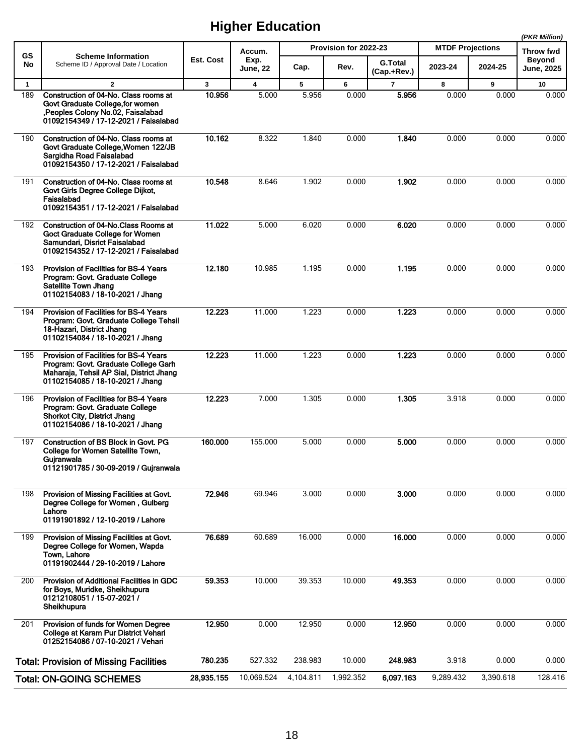|              |                                                                                                                                                                |              |                         |           |                       |                               |                         |           | (PKR Million)                      |
|--------------|----------------------------------------------------------------------------------------------------------------------------------------------------------------|--------------|-------------------------|-----------|-----------------------|-------------------------------|-------------------------|-----------|------------------------------------|
| <b>GS</b>    | <b>Scheme Information</b>                                                                                                                                      |              | Accum.                  |           | Provision for 2022-23 |                               | <b>MTDF Projections</b> |           | <b>Throw fwd</b>                   |
| No           | Scheme ID / Approval Date / Location                                                                                                                           | Est. Cost    | Exp.<br><b>June, 22</b> | Cap.      | Rev.                  | <b>G.Total</b><br>(Cap.+Rev.) | 2023-24                 | 2024-25   | <b>Beyond</b><br><b>June, 2025</b> |
| $\mathbf{1}$ | $\overline{2}$                                                                                                                                                 | $\mathbf{3}$ | $\overline{\mathbf{4}}$ | 5         | 6                     | $\overline{7}$                | 8                       | 9         | 10                                 |
| 189          | Construction of 04-No. Class rooms at<br>Govt Graduate College, for women<br>, Peoples Colony No.02, Faisalabad<br>01092154349 / 17-12-2021 / Faisalabad       | 10.956       | 5.000                   | 5.956     | 0.000                 | 5.956                         | 0.000                   | 0.000     | 0.000                              |
| 190          | Construction of 04-No. Class rooms at<br>Govt Graduate College, Women 122/JB<br>Sargidha Road Faisalabad<br>01092154350 / 17-12-2021 / Faisalabad              | 10.162       | 8.322                   | 1.840     | 0.000                 | 1.840                         | 0.000                   | 0.000     | 0.000                              |
| 191          | Construction of 04-No. Class rooms at<br>Govt Girls Degree College Dijkot,<br>Faisalabad<br>01092154351 / 17-12-2021 / Faisalabad                              | 10.548       | 8.646                   | 1.902     | 0.000                 | 1.902                         | 0.000                   | 0.000     | 0.000                              |
| 192          | Construction of 04-No.Class Rooms at<br>Goct Graduate College for Women<br>Samundari, Disrict Faisalabad<br>01092154352 / 17-12-2021 / Faisalabad              | 11.022       | 5.000                   | 6.020     | 0.000                 | 6.020                         | 0.000                   | 0.000     | 0.000                              |
| 193          | Provision of Facilities for BS-4 Years<br>Program: Govt. Graduate College<br><b>Satellite Town Jhang</b><br>01102154083 / 18-10-2021 / Jhang                   | 12.180       | 10.985                  | 1.195     | 0.000                 | 1.195                         | 0.000                   | 0.000     | 0.000                              |
| 194          | Provision of Facilities for BS-4 Years<br>Program: Govt. Graduate College Tehsil<br>18-Hazari, District Jhang<br>01102154084 / 18-10-2021 / Jhang              | 12.223       | 11.000                  | 1.223     | 0.000                 | 1.223                         | 0.000                   | 0.000     | 0.000                              |
| 195          | Provision of Facilities for BS-4 Years<br>Program: Govt. Graduate College Garh<br>Maharaja, Tehsil AP Sial, District Jhang<br>01102154085 / 18-10-2021 / Jhang | 12.223       | 11.000                  | 1.223     | 0.000                 | 1.223                         | 0.000                   | 0.000     | 0.000                              |
| 196          | <b>Provision of Facilities for BS-4 Years</b><br>Program: Govt. Graduate College<br><b>Shorkot City, District Jhang</b><br>01102154086 / 18-10-2021 / Jhang    | 12.223       | 7.000                   | 1.305     | 0.000                 | 1.305                         | 3.918                   | 0.000     | 0.000                              |
| 197          | Construction of BS Block in Govt. PG<br>College for Women Satellite Town,<br>Gujranwala<br>01121901785 / 30-09-2019 / Guiranwala                               | 160.000      | 155.000                 | 5.000     | 0.000                 | 5.000                         | 0.000                   | 0.000     | 0.000                              |
| 198          | Provision of Missing Facilities at Govt.<br>Degree College for Women, Gulberg<br>Lahore<br>01191901892 / 12-10-2019 / Lahore                                   | 72.946       | 69.946                  | 3.000     | 0.000                 | 3.000                         | 0.000                   | 0.000     | 0.000                              |
| 199          | Provision of Missing Facilities at Govt.<br>Degree College for Women, Wapda<br>Town, Lahore<br>01191902444 / 29-10-2019 / Lahore                               | 76.689       | 60.689                  | 16.000    | 0.000                 | 16.000                        | 0.000                   | 0.000     | 0.000                              |
| 200          | Provision of Additional Facilities in GDC<br>for Boys, Muridke, Sheikhupura<br>01212108051 / 15-07-2021 /<br>Sheikhupura                                       | 59.353       | 10.000                  | 39.353    | 10.000                | 49.353                        | 0.000                   | 0.000     | 0.000                              |
| 201          | Provision of funds for Women Degree<br>College at Karam Pur District Vehari<br>01252154086 / 07-10-2021 / Vehari                                               | 12.950       | 0.000                   | 12.950    | 0.000                 | 12.950                        | 0.000                   | 0.000     | 0.000                              |
|              | <b>Total: Provision of Missing Facilities</b>                                                                                                                  | 780.235      | 527.332                 | 238.983   | 10.000                | 248.983                       | 3.918                   | 0.000     | 0.000                              |
|              | <b>Total: ON-GOING SCHEMES</b>                                                                                                                                 | 28,935.155   | 10,069.524              | 4,104.811 | 1,992.352             | 6,097.163                     | 9,289.432               | 3,390.618 | 128.416                            |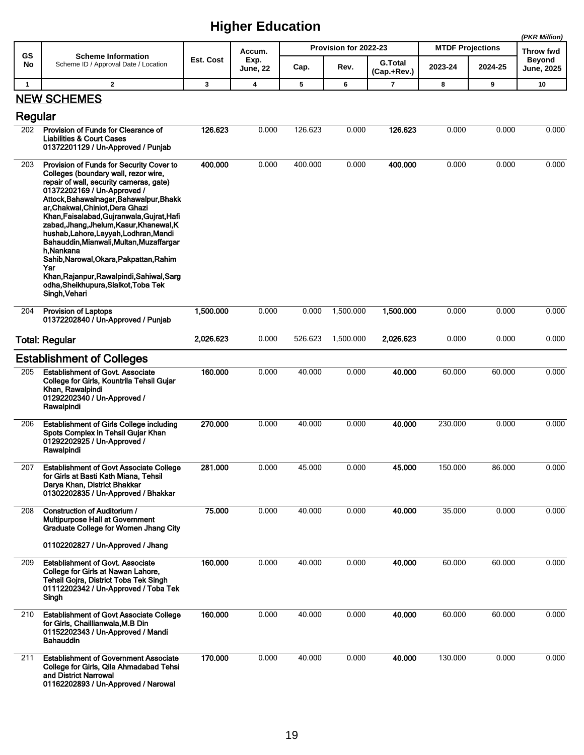|              |                                                                                                                                                                                                                                                                                                                                                                                                                                                                                                                                                                                                |              |                  |         |                       |                               |                         |         | (PKR Million)               |
|--------------|------------------------------------------------------------------------------------------------------------------------------------------------------------------------------------------------------------------------------------------------------------------------------------------------------------------------------------------------------------------------------------------------------------------------------------------------------------------------------------------------------------------------------------------------------------------------------------------------|--------------|------------------|---------|-----------------------|-------------------------------|-------------------------|---------|-----------------------------|
| GS           | <b>Scheme Information</b>                                                                                                                                                                                                                                                                                                                                                                                                                                                                                                                                                                      |              | Accum.           |         | Provision for 2022-23 |                               | <b>MTDF Projections</b> |         | Throw fwd                   |
| No           | Scheme ID / Approval Date / Location                                                                                                                                                                                                                                                                                                                                                                                                                                                                                                                                                           | Est. Cost    | Exp.<br>June, 22 | Cap.    | Rev.                  | <b>G.Total</b><br>(Cap.+Rev.) | 2023-24                 | 2024-25 | Beyond<br><b>June, 2025</b> |
| $\mathbf{1}$ | $\overline{2}$                                                                                                                                                                                                                                                                                                                                                                                                                                                                                                                                                                                 | $\mathbf{3}$ | 4                | 5       | 6                     | $\overline{7}$                | 8                       | 9       | 10                          |
|              | <b>NEW SCHEMES</b>                                                                                                                                                                                                                                                                                                                                                                                                                                                                                                                                                                             |              |                  |         |                       |                               |                         |         |                             |
| Regular      |                                                                                                                                                                                                                                                                                                                                                                                                                                                                                                                                                                                                |              |                  |         |                       |                               |                         |         |                             |
| 202          | Provision of Funds for Clearance of<br><b>Liabilities &amp; Court Cases</b><br>01372201129 / Un-Approved / Punjab                                                                                                                                                                                                                                                                                                                                                                                                                                                                              | 126.623      | 0.000            | 126.623 | 0.000                 | 126.623                       | 0.000                   | 0.000   | 0.000                       |
| 203          | Provision of Funds for Security Cover to<br>Colleges (boundary wall, rezor wire,<br>repair of wall, security cameras, gate)<br>01372202169 / Un-Approved /<br>Attock, Bahawalnagar, Bahawalpur, Bhakk<br>ar, Chakwal, Chiniot, Dera Ghazi<br>Khan, Faisalabad, Gujranwala, Gujrat, Hafi<br>zabad, Jhang, Jhelum, Kasur, Khanewal, K<br>hushab, Lahore, Layyah, Lodhran, Mandi<br>Bahauddin, Mianwali, Multan, Muzaffargar<br>h.Nankana<br>Sahib, Narowal, Okara, Pakpattan, Rahim<br>Yar<br>Khan, Rajanpur, Rawalpindi, Sahiwal, Sarg<br>odha, Sheikhupura, Sialkot, Toba Tek<br>Singh, Vehari | 400.000      | 0.000            | 400.000 | 0.000                 | 400.000                       | 0.000                   | 0.000   | 0.000                       |
| 204          | <b>Provision of Laptops</b><br>01372202840 / Un-Approved / Punjab                                                                                                                                                                                                                                                                                                                                                                                                                                                                                                                              | 1,500.000    | 0.000            | 0.000   | 1,500.000             | 1,500.000                     | 0.000                   | 0.000   | 0.000                       |
|              | <b>Total: Regular</b>                                                                                                                                                                                                                                                                                                                                                                                                                                                                                                                                                                          | 2,026.623    | 0.000            | 526.623 | 1,500.000             | 2,026.623                     | 0.000                   | 0.000   | 0.000                       |
|              | <b>Establishment of Colleges</b>                                                                                                                                                                                                                                                                                                                                                                                                                                                                                                                                                               |              |                  |         |                       |                               |                         |         |                             |
| 205          | <b>Establishment of Govt. Associate</b><br>College for Girls, Kountrila Tehsil Gujar<br>Khan, Rawalpindi<br>01292202340 / Un-Approved /<br>Rawalpindi                                                                                                                                                                                                                                                                                                                                                                                                                                          | 160.000      | 0.000            | 40.000  | 0.000                 | 40.000                        | 60.000                  | 60.000  | 0.000                       |
| 206          | <b>Establishment of Girls College including</b><br>Spots Complex in Tehsil Gujar Khan<br>01292202925 / Un-Approved /<br>Rawalpindi                                                                                                                                                                                                                                                                                                                                                                                                                                                             | 270.000      | 0.000            | 40.000  | 0.000                 | 40.000                        | 230.000                 | 0.000   | 0.000                       |
| 207          | <b>Establishment of Govt Associate College</b><br>for Girls at Basti Kath Miana, Tehsil<br>Darya Khan, District Bhakkar<br>01302202835 / Un-Approved / Bhakkar                                                                                                                                                                                                                                                                                                                                                                                                                                 | 281.000      | 0.000            | 45.000  | 0.000                 | 45.000                        | 150.000                 | 86.000  | 0.000                       |
| 208          | Construction of Auditorium /<br>Multipurpose Hall at Government<br>Graduate College for Women Jhang City<br>01102202827 / Un-Approved / Jhang                                                                                                                                                                                                                                                                                                                                                                                                                                                  | 75.000       | 0.000            | 40.000  | 0.000                 | 40.000                        | 35.000                  | 0.000   | 0.000                       |
| 209          | <b>Establishment of Govt. Associate</b><br>College for Girls at Nawan Lahore,<br>Tehsil Gojra, District Toba Tek Singh<br>01112202342 / Un-Approved / Toba Tek<br>Singh                                                                                                                                                                                                                                                                                                                                                                                                                        | 160.000      | 0.000            | 40.000  | 0.000                 | 40.000                        | 60.000                  | 60.000  | 0.000                       |
| 210          | <b>Establishment of Govt Associate College</b><br>for Girls, Chaillianwala, M.B Din<br>01152202343 / Un-Approved / Mandi<br>Bahauddin                                                                                                                                                                                                                                                                                                                                                                                                                                                          | 160.000      | 0.000            | 40.000  | 0.000                 | 40.000                        | 60.000                  | 60.000  | 0.000                       |
| 211          | <b>Establishment of Government Associate</b><br>College for Girls, Qila Ahmadabad Tehsi<br>and District Narrowal<br>01162202893 / Un-Approved / Narowal                                                                                                                                                                                                                                                                                                                                                                                                                                        | 170.000      | 0.000            | 40.000  | 0.000                 | 40.000                        | 130.000                 | 0.000   | 0.000                       |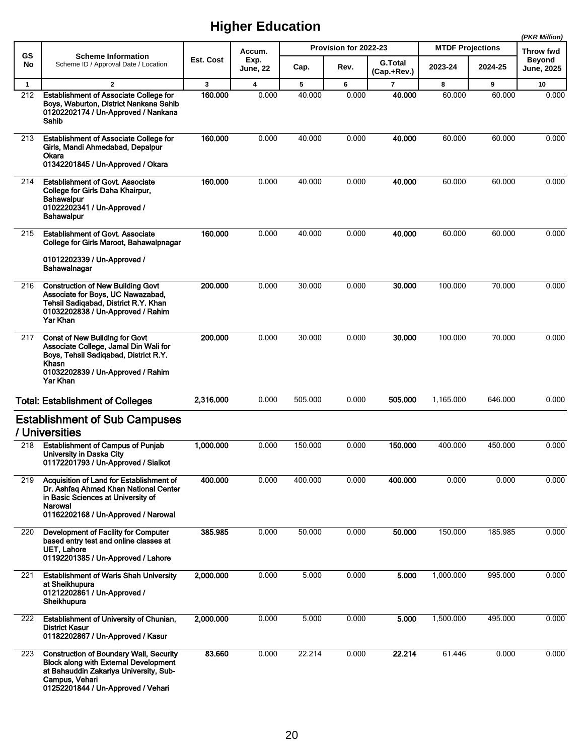|              |                                                                                                                                                                                                  |           |                                   |                       |       |                               |                         | (PKR Million) |                             |
|--------------|--------------------------------------------------------------------------------------------------------------------------------------------------------------------------------------------------|-----------|-----------------------------------|-----------------------|-------|-------------------------------|-------------------------|---------------|-----------------------------|
| GS<br>No     | <b>Scheme Information</b><br>Scheme ID / Approval Date / Location                                                                                                                                | Est. Cost | Accum.<br>Exp.<br><b>June, 22</b> | Provision for 2022-23 |       |                               | <b>MTDF Projections</b> |               | Throw fwd                   |
|              |                                                                                                                                                                                                  |           |                                   | Cap.                  | Rev.  | <b>G.Total</b><br>(Cap.+Rev.) | 2023-24                 | 2024-25       | <b>Beyond</b><br>June, 2025 |
| $\mathbf{1}$ | $\mathbf{2}$                                                                                                                                                                                     | 3         | $\overline{\mathbf{4}}$           | 5                     | 6     | $\overline{7}$                | 8                       | 9             | 10                          |
| 212          | Establishment of Associate College for<br>Boys, Waburton, District Nankana Sahib<br>01202202174 / Un-Approved / Nankana<br>Sahib                                                                 | 160.000   | 0.000                             | 40.000                | 0.000 | 40.000                        | 60.000                  | 60.000        | 0.000                       |
| 213          | <b>Establishment of Associate College for</b><br>Girls, Mandi Ahmedabad, Depalpur<br>Okara<br>01342201845 / Un-Approved / Okara                                                                  | 160.000   | 0.000                             | 40.000                | 0.000 | 40.000                        | 60.000                  | 60.000        | 0.000                       |
| 214          | <b>Establishment of Govt. Associate</b><br>College for Girls Daha Khairpur,<br>Bahawalpur<br>01022202341 / Un-Approved /<br>Bahawalpur                                                           | 160.000   | 0.000                             | 40.000                | 0.000 | 40.000                        | 60.000                  | 60.000        | 0.000                       |
| 215          | <b>Establishment of Govt. Associate</b><br>College for Girls Maroot, Bahawalpnagar<br>01012202339 / Un-Approved /<br>Bahawalnagar                                                                | 160.000   | 0.000                             | 40.000                | 0.000 | 40.000                        | 60.000                  | 60.000        | 0.000                       |
| 216          | <b>Construction of New Building Govt</b><br>Associate for Boys, UC Nawazabad,<br>Tehsil Sadiqabad, District R.Y. Khan<br>01032202838 / Un-Approved / Rahim<br>Yar Khan                           | 200.000   | 0.000                             | 30.000                | 0.000 | 30.000                        | 100.000                 | 70.000        | 0.000                       |
| 217          | <b>Const of New Building for Govt</b><br>Associate College, Jamal Din Wali for<br>Boys, Tehsil Sadiqabad, District R.Y.<br>Khasn<br>01032202839 / Un-Approved / Rahim<br>Yar Khan                | 200.000   | 0.000                             | 30.000                | 0.000 | 30.000                        | 100.000                 | 70.000        | 0.000                       |
|              | <b>Total: Establishment of Colleges</b>                                                                                                                                                          | 2,316.000 | 0.000                             | 505.000               | 0.000 | 505.000                       | 1,165.000               | 646.000       | 0.000                       |
|              | <b>Establishment of Sub Campuses</b><br>/ Universities                                                                                                                                           |           |                                   |                       |       |                               |                         |               |                             |
| 218          | <b>Establishment of Campus of Punjab</b><br>University in Daska City<br>01172201793 / Un-Approved / Sialkot                                                                                      | 1.000.000 | 0.000                             | 150.000               | 0.000 | 150,000                       | 400.000                 | 450.000       | 0.000                       |
| 219          | Acquisition of Land for Establishment of<br>Dr. Ashfaq Ahmad Khan National Center<br>in Basic Sciences at University of<br><b>Narowal</b><br>01162202168 / Un-Approved / Narowal                 | 400.000   | 0.000                             | 400.000               | 0.000 | 400.000                       | 0.000                   | 0.000         | 0.000                       |
| 220          | Development of Facility for Computer<br>based entry test and online classes at<br><b>UET, Lahore</b><br>01192201385 / Un-Approved / Lahore                                                       | 385.985   | 0.000                             | 50.000                | 0.000 | 50.000                        | 150.000                 | 185.985       | 0.000                       |
| 221          | <b>Establishment of Waris Shah University</b><br>at Sheikhupura<br>01212202861 / Un-Approved /<br>Sheikhupura                                                                                    | 2.000.000 | 0.000                             | 5.000                 | 0.000 | 5.000                         | 1,000.000               | 995.000       | 0.000                       |
| 222          | <b>Establishment of University of Chunian,</b><br><b>District Kasur</b><br>01182202867 / Un-Approved / Kasur                                                                                     | 2,000.000 | 0.000                             | 5.000                 | 0.000 | 5.000                         | 1,500.000               | 495.000       | 0.000                       |
| 223          | <b>Construction of Boundary Wall, Security</b><br><b>Block along with External Development</b><br>at Bahauddin Zakariya University, Sub-<br>Campus, Vehari<br>01252201844 / Un-Approved / Vehari | 83.660    | 0.000                             | 22.214                | 0.000 | 22.214                        | 61.446                  | 0.000         | 0.000                       |